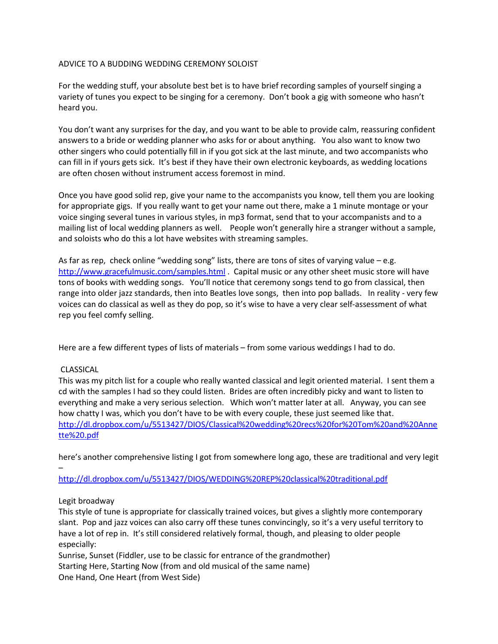## ADVICE TO A BUDDING WEDDING CEREMONY SOLOIST

For the wedding stuff, your absolute best bet is to have brief recording samples of yourself singing a variety of tunes you expect to be singing for a ceremony. Don't book a gig with someone who hasn't heard you.

You don't want any surprises for the day, and you want to be able to provide calm, reassuring confident answers to a bride or wedding planner who asks for or about anything. You also want to know two other singers who could potentially fill in if you got sick at the last minute, and two accompanists who can fill in if yours gets sick. It's best if they have their own electronic keyboards, as wedding locations are often chosen without instrument access foremost in mind.

Once you have good solid rep, give your name to the accompanists you know, tell them you are looking for appropriate gigs. If you really want to get your name out there, make a 1 minute montage or your voice singing several tunes in various styles, in mp3 format, send that to your accompanists and to a mailing list of local wedding planners as well. People won't generally hire a stranger without a sample, and soloists who do this a lot have websites with streaming samples.

As far as rep, check online "wedding song" lists, there are tons of sites of varying value – e.g. http://www.gracefulmusic.com/samples.html . Capital music or any other sheet music store will have tons of books with wedding songs. You'll notice that ceremony songs tend to go from classical, then range into older jazz standards, then into Beatles love songs, then into pop ballads. In reality - very few voices can do classical as well as they do pop, so it's wise to have a very clear self-assessment of what rep you feel comfy selling.

Here are a few different types of lists of materials – from some various weddings I had to do.

# CLASSICAL

This was my pitch list for a couple who really wanted classical and legit oriented material. I sent them a cd with the samples I had so they could listen. Brides are often incredibly picky and want to listen to everything and make a very serious selection. Which won't matter later at all. Anyway, you can see how chatty I was, which you don't have to be with every couple, these just seemed like that. http://dl.dropbox.com/u/5513427/DIOS/Classical%20wedding%20recs%20for%20Tom%20and%20Anne tte%20.pdf

here's another comprehensive listing I got from somewhere long ago, these are traditional and very legit

http://dl.dropbox.com/u/5513427/DIOS/WEDDING%20REP%20classical%20traditional.pdf

## Legit broadway

–

This style of tune is appropriate for classically trained voices, but gives a slightly more contemporary slant. Pop and jazz voices can also carry off these tunes convincingly, so it's a very useful territory to have a lot of rep in. It's still considered relatively formal, though, and pleasing to older people especially:

Sunrise, Sunset (Fiddler, use to be classic for entrance of the grandmother) Starting Here, Starting Now (from and old musical of the same name) One Hand, One Heart (from West Side)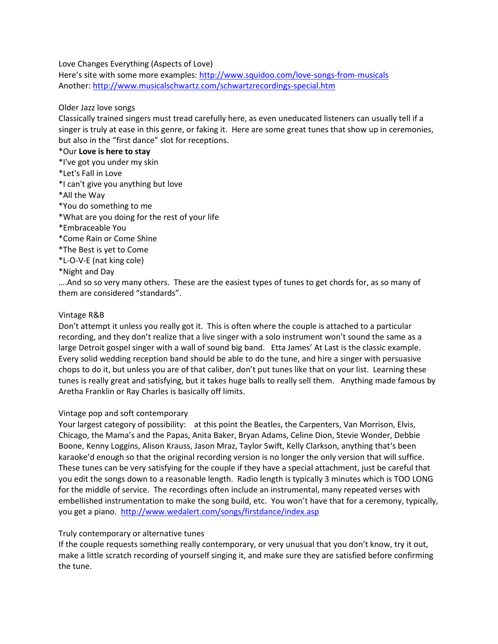Love Changes Everything (Aspects of Love)

Here's site with some more examples: http://www.squidoo.com/love-songs-from-musicals Another: http://www.musicalschwartz.com/schwartzrecordings-special.htm

## Older Jazz love songs

Classically trained singers must tread carefully here, as even uneducated listeners can usually tell if a singer is truly at ease in this genre, or faking it. Here are some great tunes that show up in ceremonies, but also in the "first dance" slot for receptions.

## \*Our **Love is here to stay**

- \*I've got you under my skin
- \*Let's Fall in Love
- \*I can't give you anything but love
- \*All the Way
- \*You do something to me
- \*What are you doing for the rest of your life
- \*Embraceable You
- \*Come Rain or Come Shine
- \*The Best is yet to Come
- \*L-O-V-E (nat king cole)
- \*Night and Day

….And so so very many others. These are the easiest types of tunes to get chords for, as so many of them are considered "standards".

## Vintage R&B

Don't attempt it unless you really got it. This is often where the couple is attached to a particular recording, and they don't realize that a live singer with a solo instrument won't sound the same as a large Detroit gospel singer with a wall of sound big band. Etta James' At Last is the classic example. Every solid wedding reception band should be able to do the tune, and hire a singer with persuasive chops to do it, but unless you are of that caliber, don't put tunes like that on your list. Learning these tunes is really great and satisfying, but it takes huge balls to really sell them. Anything made famous by Aretha Franklin or Ray Charles is basically off limits.

## Vintage pop and soft contemporary

Your largest category of possibility: at this point the Beatles, the Carpenters, Van Morrison, Elvis, Chicago, the Mama's and the Papas, Anita Baker, Bryan Adams, Celine Dion, Stevie Wonder, Debbie Boone, Kenny Loggins, Alison Krauss, Jason Mraz, Taylor Swift, Kelly Clarkson, anything that's been karaoke'd enough so that the original recording version is no longer the only version that will suffice. These tunes can be very satisfying for the couple if they have a special attachment, just be careful that you edit the songs down to a reasonable length. Radio length is typically 3 minutes which is TOO LONG for the middle of service. The recordings often include an instrumental, many repeated verses with embellished instrumentation to make the song build, etc. You won't have that for a ceremony, typically, you get a piano. http://www.wedalert.com/songs/firstdance/index.asp

## Truly contemporary or alternative tunes

If the couple requests something really contemporary, or very unusual that you don't know, try it out, make a little scratch recording of yourself singing it, and make sure they are satisfied before confirming the tune.